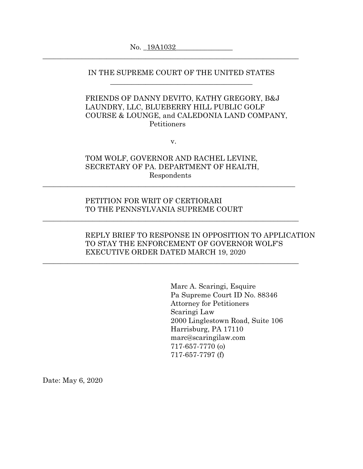No. 19A1032

### IN THE SUPREME COURT OF THE UNITED STATES \_\_\_\_\_\_\_\_\_\_\_\_\_\_\_\_\_\_\_\_\_\_\_\_\_\_\_\_\_\_\_\_\_\_\_\_\_\_\_\_

 $\_$  , and the set of the set of the set of the set of the set of the set of the set of the set of the set of the set of the set of the set of the set of the set of the set of the set of the set of the set of the set of th

### FRIENDS OF DANNY DEVITO, KATHY GREGORY, B&J LAUNDRY, LLC, BLUEBERRY HILL PUBLIC GOLF COURSE & LOUNGE, and CALEDONIA LAND COMPANY, Petitioners

v.

### TOM WOLF, GOVERNOR AND RACHEL LEVINE, SECRETARY OF PA. DEPARTMENT OF HEALTH, Respondents

 $\_$  , and the set of the set of the set of the set of the set of the set of the set of the set of the set of the set of the set of the set of the set of the set of the set of the set of the set of the set of the set of th

 $\_$  , and the set of the set of the set of the set of the set of the set of the set of the set of the set of the set of the set of the set of the set of the set of the set of the set of the set of the set of the set of th

\_\_\_\_\_\_\_\_\_\_\_\_\_\_\_\_\_\_\_\_\_\_\_\_\_\_\_\_\_\_\_\_\_\_\_\_\_\_\_\_\_\_\_\_\_\_\_\_\_\_\_\_\_\_\_\_\_\_\_\_\_\_\_\_\_\_\_\_\_\_\_\_

### PETITION FOR WRIT OF CERTIORARI TO THE PENNSYLVANIA SUPREME COURT

### REPLY BRIEF TO RESPONSE IN OPPOSITION TO APPLICATION TO STAY THE ENFORCEMENT OF GOVERNOR WOLF'S EXECUTIVE ORDER DATED MARCH 19, 2020

Marc A. Scaringi, Esquire Pa Supreme Court ID No. 88346 Attorney for Petitioners Scaringi Law 2000 Linglestown Road, Suite 106 Harrisburg, PA 17110 marc@scaringilaw.com 717-657-7770 (o) 717-657-7797 (f)

Date: May 6, 2020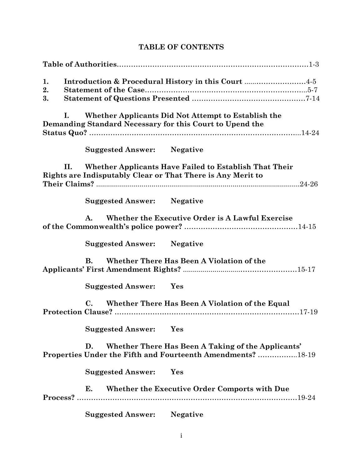|  | <b>TABLE OF CONTENTS</b> |
|--|--------------------------|
|--|--------------------------|

| 1.<br>2.<br>3. | Introduction & Procedural History in this Court 4-5                                                                     |  |
|----------------|-------------------------------------------------------------------------------------------------------------------------|--|
| I.             | Whether Applicants Did Not Attempt to Establish the<br>Demanding Standard Necessary for this Court to Upend the         |  |
|                | <b>Suggested Answer:</b> Negative                                                                                       |  |
| П.             | Whether Applicants Have Failed to Establish That Their<br>Rights are Indisputably Clear or That There is Any Merit to   |  |
|                | <b>Suggested Answer:</b> Negative                                                                                       |  |
|                | Whether the Executive Order is A Lawful Exercise<br>$\mathbf{A}$ .                                                      |  |
|                | <b>Suggested Answer:</b> Negative                                                                                       |  |
|                | Whether There Has Been A Violation of the<br>B.                                                                         |  |
|                | <b>Suggested Answer:</b> Yes                                                                                            |  |
|                | Whether There Has Been A Violation of the Equal<br>C.                                                                   |  |
|                | <b>Suggested Answer:</b><br>Yes                                                                                         |  |
|                | Whether There Has Been A Taking of the Applicants'<br>D.<br>Properties Under the Fifth and Fourteenth Amendments? 18-19 |  |
|                | <b>Suggested Answer:</b><br>Yes                                                                                         |  |
|                | Whether the Executive Order Comports with Due<br>Е.                                                                     |  |
|                | <b>Suggested Answer:</b><br><b>Negative</b>                                                                             |  |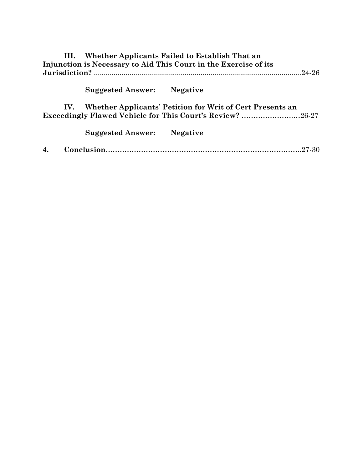|                                                                                                                                   | Ш. |                                   | Whether Applicants Failed to Establish That an                   |
|-----------------------------------------------------------------------------------------------------------------------------------|----|-----------------------------------|------------------------------------------------------------------|
|                                                                                                                                   |    |                                   | Injunction is Necessary to Aid This Court in the Exercise of its |
|                                                                                                                                   |    |                                   |                                                                  |
|                                                                                                                                   |    | <b>Suggested Answer:</b> Negative |                                                                  |
| IV. Whether Applicants' Petition for Writ of Cert Presents an<br><b>Exceedingly Flawed Vehicle for This Court's Review?</b> 26-27 |    |                                   |                                                                  |
|                                                                                                                                   |    | <b>Suggested Answer:</b> Negative |                                                                  |
|                                                                                                                                   |    |                                   |                                                                  |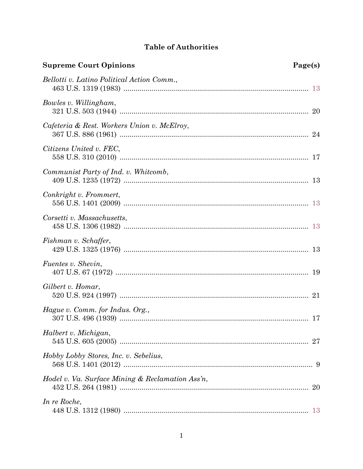# **Table of Authorities**

| <b>Supreme Court Opinions</b>                    | Page(s) |
|--------------------------------------------------|---------|
| Bellotti v. Latino Political Action Comm.,       |         |
| Bowles v. Willingham,                            |         |
| Cafeteria & Rest. Workers Union v. McElroy,      |         |
| Citizens United v. FEC,                          |         |
| Communist Party of Ind. v. Whitcomb,             |         |
| Conkright v. Frommert,                           |         |
| Corsetti v. Massachusetts,                       |         |
| Fishman v. Schaffer,                             |         |
| Fuentes v. Shevin,                               |         |
| Gilbert v. Homar,                                |         |
| Hague v. Comm. for Indus. Org.,                  |         |
| Halbert v. Michigan,                             | 27      |
| Hobby Lobby Stores, Inc. v. Sebelius,            |         |
| Hodel v. Va. Surface Mining & Reclamation Ass'n, | 20      |
| In re Roche,                                     |         |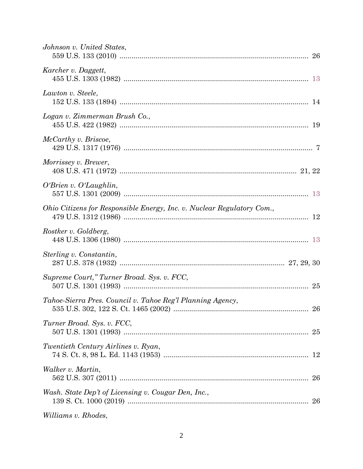| Johnson v. United States,                                              |    |
|------------------------------------------------------------------------|----|
| Karcher v. Daggett,                                                    |    |
| Lawton v. Steele,                                                      |    |
| Logan v. Zimmerman Brush Co.,                                          |    |
| McCarthy v. Briscoe,                                                   |    |
| Morrissey v. Brewer,                                                   |    |
| O'Brien v. O'Laughlin,                                                 |    |
| Ohio Citizens for Responsible Energy, Inc. v. Nuclear Regulatory Com., |    |
| Rostker v. Goldberg,                                                   |    |
| Sterling v. Constantin,                                                |    |
| Supreme Court," Turner Broad. Sys. v. FCC,                             |    |
| Tahoe-Sierra Pres. Council v. Tahoe Reg'l Planning Agency,             |    |
| Turner Broad. Sys. v. FCC,                                             |    |
| Twentieth Century Airlines v. Ryan,                                    |    |
| Walker v. Martin,                                                      | 26 |
| Wash. State Dep't of Licensing v. Cougar Den, Inc.,                    |    |
| Williams v. Rhodes,                                                    |    |

## $\overline{2}$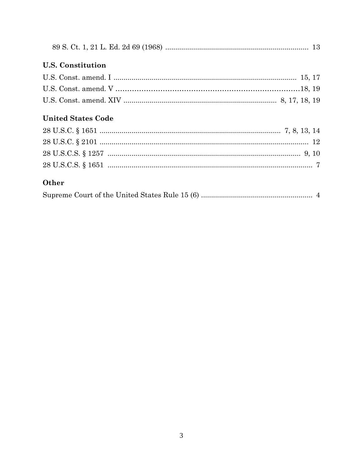| <b>U.S. Constitution</b>  |  |
|---------------------------|--|
|                           |  |
|                           |  |
|                           |  |
| <b>United States Code</b> |  |
|                           |  |
|                           |  |
|                           |  |
|                           |  |
| Other                     |  |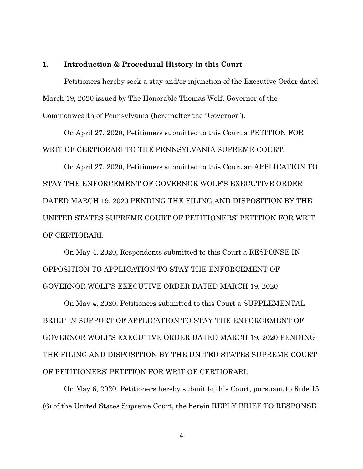#### **1. Introduction & Procedural History in this Court**

Petitioners hereby seek a stay and/or injunction of the Executive Order dated March 19, 2020 issued by The Honorable Thomas Wolf, Governor of the Commonwealth of Pennsylvania (hereinafter the "Governor").

On April 27, 2020, Petitioners submitted to this Court a PETITION FOR WRIT OF CERTIORARI TO THE PENNSYLVANIA SUPREME COURT.

On April 27, 2020, Petitioners submitted to this Court an APPLICATION TO STAY THE ENFORCEMENT OF GOVERNOR WOLF'S EXECUTIVE ORDER DATED MARCH 19, 2020 PENDING THE FILING AND DISPOSITION BY THE UNITED STATES SUPREME COURT OF PETITIONERS' PETITION FOR WRIT OF CERTIORARI.

On May 4, 2020, Respondents submitted to this Court a RESPONSE IN OPPOSITION TO APPLICATION TO STAY THE ENFORCEMENT OF GOVERNOR WOLF'S EXECUTIVE ORDER DATED MARCH 19, 2020

On May 4, 2020, Petitioners submitted to this Court a SUPPLEMENTAL BRIEF IN SUPPORT OF APPLICATION TO STAY THE ENFORCEMENT OF GOVERNOR WOLF'S EXECUTIVE ORDER DATED MARCH 19, 2020 PENDING THE FILING AND DISPOSITION BY THE UNITED STATES SUPREME COURT OF PETITIONERS' PETITION FOR WRIT OF CERTIORARI.

<span id="page-6-0"></span>On May 6, 2020, Petitioners hereby submit to this Court, pursuant to Rule 15 (6) of the United States Supreme Court, the herein REPLY BRIEF TO RESPONSE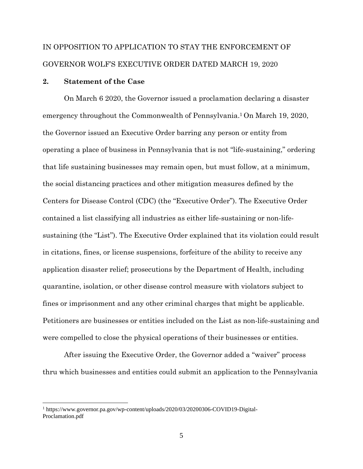# IN OPPOSITION TO APPLICATION TO STAY THE ENFORCEMENT OF GOVERNOR WOLF'S EXECUTIVE ORDER DATED MARCH 19, 2020

### **2. Statement of the Case**

On March 6 2020, the Governor issued a proclamation declaring a disaster emergency throughout the Commonwealth of Pennsylvania.[1](#page-7-0) On March 19, 2020, the Governor issued an Executive Order barring any person or entity from operating a place of business in Pennsylvania that is not "life-sustaining," ordering that life sustaining businesses may remain open, but must follow, at a minimum, the social distancing practices and other mitigation measures defined by the Centers for Disease Control (CDC) (the "Executive Order"). The Executive Order contained a list classifying all industries as either life-sustaining or non-lifesustaining (the "List"). The Executive Order explained that its violation could result in citations, fines, or license suspensions, forfeiture of the ability to receive any application disaster relief; prosecutions by the Department of Health, including quarantine, isolation, or other disease control measure with violators subject to fines or imprisonment and any other criminal charges that might be applicable. Petitioners are businesses or entities included on the List as non-life-sustaining and were compelled to close the physical operations of their businesses or entities.

After issuing the Executive Order, the Governor added a "waiver" process thru which businesses and entities could submit an application to the Pennsylvania

<span id="page-7-0"></span><sup>&</sup>lt;sup>1</sup> https://www.governor.pa.gov/wp-content/uploads/2020/03/20200306-COVID19-Digital-Proclamation.pdf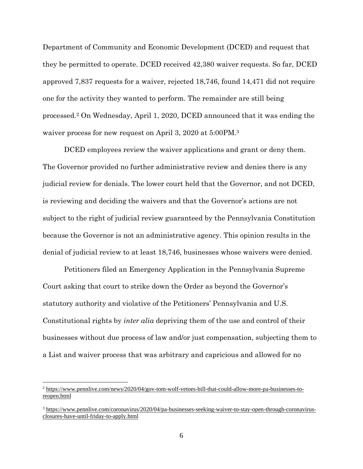Department of Community and Economic Development (DCED) and request that they be permitted to operate. DCED received 42,380 waiver requests. So far, DCED approved 7,837 requests for a waiver, rejected 18,746, found 14,471 did not require one for the activity they wanted to perform. The remainder are still being processed.[2](#page-8-0) On Wednesday, April 1, 2020, DCED announced that it was ending the waiver process for new request on April [3](#page-8-1), 2020 at 5:00 PM.<sup>3</sup>

DCED employees review the waiver applications and grant or deny them. The Governor provided no further administrative review and denies there is any judicial review for denials. The lower court held that the Governor, and not DCED, is reviewing and deciding the waivers and that the Governor's actions are not subject to the right of judicial review guaranteed by the Pennsylvania Constitution because the Governor is not an administrative agency. This opinion results in the denial of judicial review to at least 18,746, businesses whose waivers were denied.

Petitioners filed an Emergency Application in the Pennsylvania Supreme Court asking that court to strike down the Order as beyond the Governor's statutory authority and violative of the Petitioners' Pennsylvania and U.S. Constitutional rights by *inter alia* depriving them of the use and control of their businesses without due process of law and/or just compensation, subjecting them to a List and waiver process that was arbitrary and capricious and allowed for no

<span id="page-8-0"></span><sup>&</sup>lt;sup>2</sup> https://www.pennlive.com/news/2020/04/gov-tom-wolf-vetoes-bill-that-could-allow-more-pa-businesses-toreopen.html

<span id="page-8-1"></span><sup>&</sup>lt;sup>3</sup> https://www.pennlive.com/coronavirus/2020/04/pa-businesses-seeking-waiver-to-stay-open-through-coronavirusclosures-have-until-friday-to-apply.html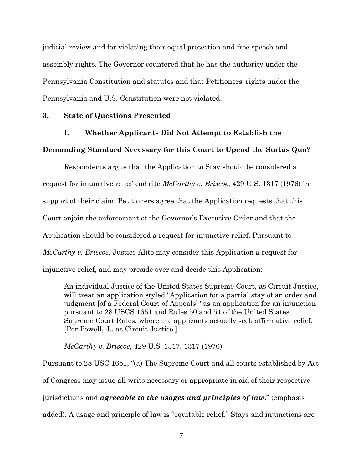judicial review and for violating their equal protection and free speech and assembly rights. The Governor countered that he has the authority under the Pennsylvania Constitution and statutes and that Petitioners' rights under the Pennsylvania and U.S. Constitution were not violated.

#### **3. State of Questions Presented**

### <span id="page-9-0"></span>**I. Whether Applicants Did Not Attempt to Establish the**

### **Demanding Standard Necessary for this Court to Upend the Status Quo?**

Respondents argue that the Application to Stay should be considered a request for injunctive relief and cite *McCarthy v. Briscoe*, 429 U.S. 1317 (1976) in support of their claim. Petitioners agree that the Application requests that this Court enjoin the enforcement of the Governor's Executive Order and that the Application should be considered a request for injunctive relief. Pursuant to *McCarthy v. Briscoe*, Justice Alito may consider this Application a request for injunctive relief, and may preside over and decide this Application:

<span id="page-9-2"></span>An individual Justice of the United States Supreme Court, as Circuit Justice, will treat an application styled "Application for a partial stay of an order and judgment [of a Federal Court of Appeals]" as an application for an injunction pursuant to 28 USCS 1651 and Rules 50 and 51 of the United States Supreme Court Rules, where the applicants actually seek affirmative relief. [Per Powell, J., as Circuit Justice.]

<span id="page-9-1"></span>*McCarthy v. Briscoe*, 429 U.S. 1317, 1317 (1976)

Pursuant to 28 USC 1651, "(a) The Supreme Court and all courts established by Act of Congress may issue all writs necessary or appropriate in aid of their respective jurisdictions and *agreeable to the usages and principles of law*." (emphasis added). A usage and principle of law is "equitable relief." Stays and injunctions are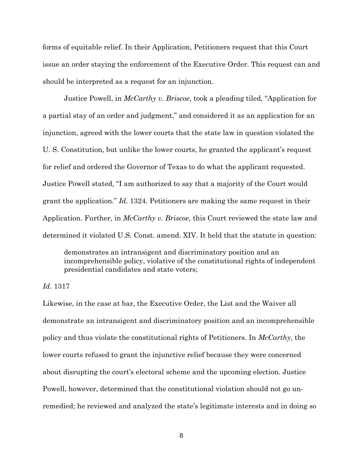forms of equitable relief. In their Application, Petitioners request that this Court issue an order staying the enforcement of the Executive Order. This request can and should be interpreted as a request for an injunction.

Justice Powell, in *McCarthy v. Briscoe*, took a pleading tiled, "Application for a partial stay of an order and judgment," and considered it as an application for an injunction, agreed with the lower courts that the state law in question violated the U. S. Constitution, but unlike the lower courts, he granted the applicant's request for relief and ordered the Governor of Texas to do what the applicant requested. Justice Powell stated, "I am authorized to say that a majority of the Court would grant the application." *Id*. 1324. Petitioners are making the same request in their Application. Further, in *McCarthy v. Briscoe*, this Court reviewed the state law and determined it violated U.S. Const. amend. XIV. It held that the statute in question:

<span id="page-10-1"></span><span id="page-10-0"></span>demonstrates an intransigent and discriminatory position and an incomprehensible policy, violative of the constitutional rights of independent presidential candidates and state voters;

### *Id.* 1317

Likewise, in the case at bar, the Executive Order, the List and the Waiver all demonstrate an intransigent and discriminatory position and an incomprehensible policy and thus violate the constitutional rights of Petitioners. In *McCarthy*, the lower courts refused to grant the injunctive relief because they were concerned about disrupting the court's electoral scheme and the upcoming election. Justice Powell, however, determined that the constitutional violation should not go unremedied; he reviewed and analyzed the state's legitimate interests and in doing so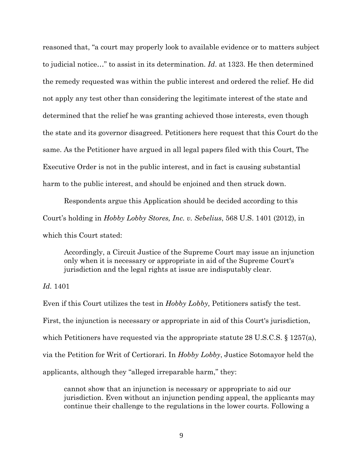reasoned that, "a court may properly look to available evidence or to matters subject to judicial notice…" to assist in its determination. *Id*. at 1323. He then determined the remedy requested was within the public interest and ordered the relief. He did not apply any test other than considering the legitimate interest of the state and determined that the relief he was granting achieved those interests, even though the state and its governor disagreed. Petitioners here request that this Court do the same. As the Petitioner have argued in all legal papers filed with this Court, The Executive Order is not in the public interest, and in fact is causing substantial harm to the public interest, and should be enjoined and then struck down.

Respondents argue this Application should be decided according to this Court's holding in *Hobby Lobby Stores, Inc. v. Sebelius*, 568 U.S. 1401 (2012), in which this Court stated:

<span id="page-11-0"></span>Accordingly, a Circuit Justice of the Supreme Court may issue an injunction only when it is necessary or appropriate in aid of the Supreme Court's jurisdiction and the legal rights at issue are indisputably clear.

#### *Id.* 1401

Even if this Court utilizes the test in *Hobby Lobby,* Petitioners satisfy the test. First, the injunction is necessary or appropriate in aid of this Court's jurisdiction, which Petitioners have requested via the appropriate statute 28 U.S.C.S. § 1257(a), via the Petition for Writ of Certiorari. In *Hobby Lobby*, Justice Sotomayor held the applicants, although they "alleged irreparable harm," they:

<span id="page-11-1"></span>cannot show that an injunction is necessary or appropriate to aid our jurisdiction. Even without an injunction pending appeal, the applicants may continue their challenge to the regulations in the lower courts. Following a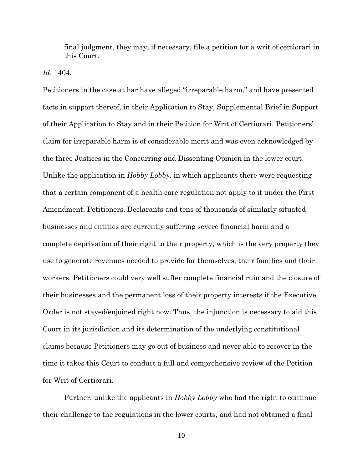final judgment, they may, if necessary, file a petition for a writ of certiorari in this Court.

<span id="page-12-0"></span>*Id*. 1404.

Petitioners in the case at bar have alleged "irreparable harm," and have presented facts in support thereof, in their Application to Stay, Supplemental Brief in Support of their Application to Stay and in their Petition for Writ of Certiorari. Petitioners' claim for irreparable harm is of considerable merit and was even acknowledged by the three Justices in the Concurring and Dissenting Opinion in the lower court. Unlike the application in *Hobby Lobby,* in which applicants there were requesting that a certain component of a health care regulation not apply to it under the First Amendment, Petitioners, Declarants and tens of thousands of similarly situated businesses and entities are currently suffering severe financial harm and a complete deprivation of their right to their property, which is the very property they use to generate revenues needed to provide for themselves, their families and their workers. Petitioners could very well suffer complete financial ruin and the closure of their businesses and the permanent loss of their property interests if the Executive Order is not stayed/enjoined right now. Thus, the injunction is necessary to aid this Court in its jurisdiction and its determination of the underlying constitutional claims because Petitioners may go out of business and never able to recover in the time it takes this Court to conduct a full and comprehensive review of the Petition for Writ of Certiorari.

Further, unlike the applicants in *Hobby Lobby* who had the right to continue their challenge to the regulations in the lower courts, and had not obtained a final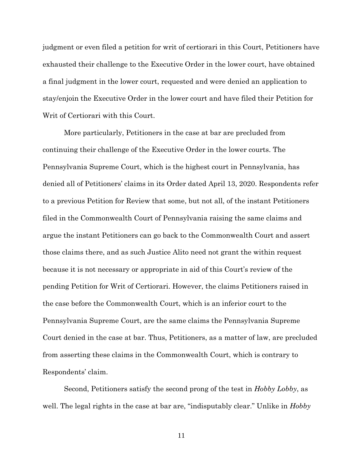judgment or even filed a petition for writ of certiorari in this Court, Petitioners have exhausted their challenge to the Executive Order in the lower court, have obtained a final judgment in the lower court, requested and were denied an application to stay/enjoin the Executive Order in the lower court and have filed their Petition for Writ of Certiorari with this Court.

More particularly, Petitioners in the case at bar are precluded from continuing their challenge of the Executive Order in the lower courts. The Pennsylvania Supreme Court, which is the highest court in Pennsylvania, has denied all of Petitioners' claims in its Order dated April 13, 2020. Respondents refer to a previous Petition for Review that some, but not all, of the instant Petitioners filed in the Commonwealth Court of Pennsylvania raising the same claims and argue the instant Petitioners can go back to the Commonwealth Court and assert those claims there, and as such Justice Alito need not grant the within request because it is not necessary or appropriate in aid of this Court's review of the pending Petition for Writ of Certiorari. However, the claims Petitioners raised in the case before the Commonwealth Court, which is an inferior court to the Pennsylvania Supreme Court, are the same claims the Pennsylvania Supreme Court denied in the case at bar. Thus, Petitioners, as a matter of law, are precluded from asserting these claims in the Commonwealth Court, which is contrary to Respondents' claim.

Second, Petitioners satisfy the second prong of the test in *Hobby Lobby*, as well. The legal rights in the case at bar are, "indisputably clear." Unlike in *Hobby*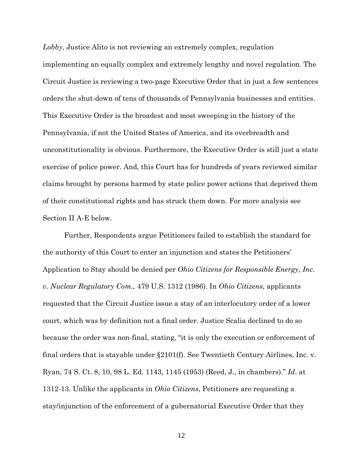*Lobby*, Justice Alito is not reviewing an extremely complex, regulation implementing an equally complex and extremely lengthy and novel regulation. The Circuit Justice is reviewing a two-page Executive Order that in just a few sentences orders the shut-down of tens of thousands of Pennsylvania businesses and entities. This Executive Order is the broadest and most sweeping in the history of the Pennsylvania, if not the United States of America, and its overbreadth and unconstitutionality is obvious. Furthermore, the Executive Order is still just a state exercise of police power. And, this Court has for hundreds of years reviewed similar claims brought by persons harmed by state police power actions that deprived them of their constitutional rights and has struck them down. For more analysis see Section II A-E below.

<span id="page-14-2"></span><span id="page-14-1"></span><span id="page-14-0"></span>Further, Respondents argue Petitioners failed to establish the standard for the authority of this Court to enter an injunction and states the Petitioners' Application to Stay should be denied per *Ohio Citizens for Responsible Energy, Inc. v. Nuclear Regulatory Com.,* 479 U.S. 1312 (1986). In *Ohio Citizens*, applicants requested that the Circuit Justice issue a stay of an interlocutory order of a lower court, which was by definition not a final order. Justice Scalia declined to do so because the order was non-final, stating, "it is only the execution or enforcement of final orders that is stayable under §2101(f). See Twentieth Century Airlines, Inc. v. Ryan, 74 S. Ct. 8, 10, 98 L. Ed. 1143, 1145 (1953) (Reed, J., in chambers)." *Id*. at 1312-13. Unlike the applicants in *Ohio Citizens*, Petitioners are requesting a stay/injunction of the enforcement of a gubernatorial Executive Order that they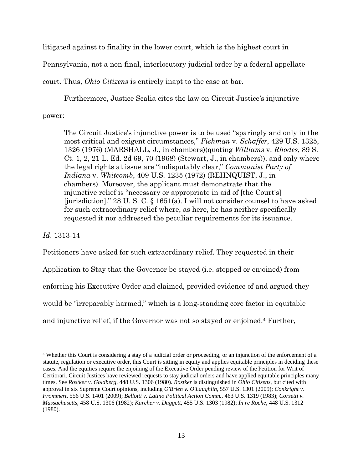litigated against to finality in the lower court, which is the highest court in Pennsylvania, not a non-final, interlocutory judicial order by a federal appellate

court. Thus, *Ohio Citizens* is entirely inapt to the case at bar.

Furthermore, Justice Scalia cites the law on Circuit Justice's injunctive

power:

<span id="page-15-9"></span><span id="page-15-4"></span><span id="page-15-1"></span>The Circuit Justice's injunctive power is to be used "sparingly and only in the most critical and exigent circumstances," *Fishman* v. *Schaffer*, 429 U.S. 1325, 1326 (1976) (MARSHALL, J., in chambers)(quoting *Williams* v. *Rhodes*, 89 S. Ct. 1, 2, 21 L. Ed. 2d 69, 70 (1968) (Stewart, J., in chambers)), and only where the legal rights at issue are "indisputably clear," *Communist Party of Indiana* v. *Whitcomb*, 409 U.S. 1235 (1972) (REHNQUIST, J., in chambers). Moreover, the applicant must demonstrate that the injunctive relief is "necessary or appropriate in aid of [the Court's] [jurisdiction]." 28 U. S. C. § 1651(a). I will not consider counsel to have asked for such extraordinary relief where, as here, he has neither specifically requested it nor addressed the peculiar requirements for its issuance.

## <span id="page-15-10"></span>*Id*. 1313-14

Petitioners have asked for such extraordinary relief. They requested in their Application to Stay that the Governor be stayed (i.e. stopped or enjoined) from enforcing his Executive Order and claimed, provided evidence of and argued they would be "irreparably harmed," which is a long-standing core factor in equitable and injunctive relief, if the Governor was not so stayed or enjoined.4 [F](#page-15-11)urther,

<span id="page-15-11"></span><span id="page-15-8"></span><span id="page-15-7"></span><span id="page-15-6"></span><span id="page-15-5"></span><span id="page-15-3"></span><span id="page-15-2"></span><span id="page-15-0"></span><sup>&</sup>lt;sup>4</sup> Whether this Court is considering a stay of a judicial order or proceeding, or an injunction of the enforcement of a statute, regulation or executive order, this Court is sitting in equity and applies equitable principles in deciding these cases. And the equities require the enjoining of the Executive Order pending review of the Petition for Writ of Certiorari. Circuit Justices have reviewed requests to stay judicial orders and have applied equitable principles many times. See *Rostker v. Goldberg*, 448 U.S. 1306 (1980). *Rostker* is distinguished in *Ohio Citizens*, but cited with approval in six Supreme Court opinions, including *O'Brien v. O'Laughlin*, 557 U.S. 1301 (2009); *Conkright v. Frommert*, 556 U.S. 1401 (2009); *Bellotti v. Latino Political Action Comm.*, 463 U.S. 1319 (1983); *Corsetti v. Massachusetts*, 458 U.S. 1306 (1982); *Karcher v. Daggett*, 455 U.S. 1303 (1982); *In re Roche*, 448 U.S. 1312 (1980).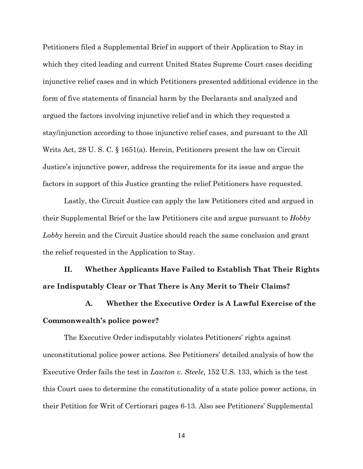Petitioners filed a Supplemental Brief in support of their Application to Stay in which they cited leading and current United States Supreme Court cases deciding injunctive relief cases and in which Petitioners presented additional evidence in the form of five statements of financial harm by the Declarants and analyzed and argued the factors involving injunctive relief and in which they requested a stay/injunction according to those injunctive relief cases, and pursuant to the All Writs Act, 28 U. S. C. § 1651(a). Herein, Petitioners present the law on Circuit Justice's injunctive power, address the requirements for its issue and argue the factors in support of this Justice granting the relief Petitioners have requested.

<span id="page-16-1"></span>Lastly, the Circuit Justice can apply the law Petitioners cited and argued in their Supplemental Brief or the law Petitioners cite and argue pursuant to *Hobby Lobby* herein and the Circuit Justice should reach the same conclusion and grant the relief requested in the Application to Stay.

**II. Whether Applicants Have Failed to Establish That Their Rights are Indisputably Clear or That There is Any Merit to Their Claims?** 

**A. Whether the Executive Order is A Lawful Exercise of the Commonwealth's police power?** 

<span id="page-16-0"></span>The Executive Order indisputably violates Petitioners' rights against unconstitutional police power actions. See Petitioners' detailed analysis of how the Executive Order fails the test in *Lawton v. Steele*, 152 U.S. 133, which is the test this Court uses to determine the constitutionality of a state police power actions, in their Petition for Writ of Certiorari pages 6-13. Also see Petitioners' Supplemental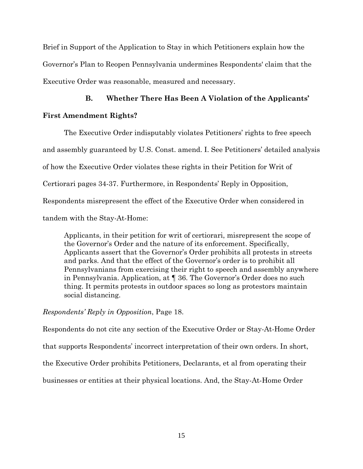Brief in Support of the Application to Stay in which Petitioners explain how the Governor's Plan to Reopen Pennsylvania undermines Respondents' claim that the Executive Order was reasonable, measured and necessary.

# **B. Whether There Has Been A Violation of the Applicants' First Amendment Rights?**

<span id="page-17-0"></span>The Executive Order indisputably violates Petitioners' rights to free speech and assembly guaranteed by U.S. Const. amend. I. See Petitioners' detailed analysis of how the Executive Order violates these rights in their Petition for Writ of Certiorari pages 34-37. Furthermore, in Respondents' Reply in Opposition, Respondents misrepresent the effect of the Executive Order when considered in tandem with the Stay-At-Home:

Applicants, in their petition for writ of certiorari, misrepresent the scope of the Governor's Order and the nature of its enforcement. Specifically, Applicants assert that the Governor's Order prohibits all protests in streets and parks. And that the effect of the Governor's order is to prohibit all Pennsylvanians from exercising their right to speech and assembly anywhere in Pennsylvania. Application, at ¶ 36. The Governor's Order does no such thing. It permits protests in outdoor spaces so long as protestors maintain social distancing.

*Respondents' Reply in Opposition*, Page 18.

Respondents do not cite any section of the Executive Order or Stay-At-Home Order that supports Respondents' incorrect interpretation of their own orders. In short, the Executive Order prohibits Petitioners, Declarants, et al from operating their businesses or entities at their physical locations. And, the Stay-At-Home Order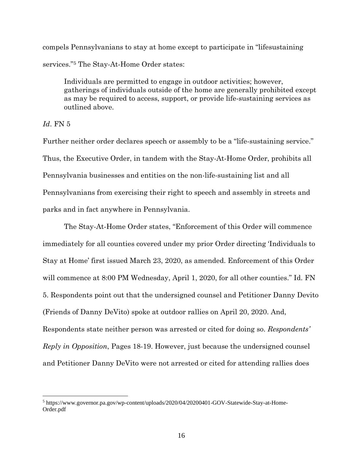compels Pennsylvanians to stay at home except to participate in "lifesustaining services."[5](#page-18-0) The Stay-At-Home Order states:

Individuals are permitted to engage in outdoor activities; however, gatherings of individuals outside of the home are generally prohibited except as may be required to access, support, or provide life-sustaining services as outlined above.

### *Id*. FN 5

Further neither order declares speech or assembly to be a "life-sustaining service." Thus, the Executive Order, in tandem with the Stay-At-Home Order, prohibits all Pennsylvania businesses and entities on the non-life-sustaining list and all Pennsylvanians from exercising their right to speech and assembly in streets and parks and in fact anywhere in Pennsylvania.

The Stay-At-Home Order states, "Enforcement of this Order will commence immediately for all counties covered under my prior Order directing 'Individuals to Stay at Home' first issued March 23, 2020, as amended. Enforcement of this Order will commence at 8:00 PM Wednesday, April 1, 2020, for all other counties." Id. FN 5. Respondents point out that the undersigned counsel and Petitioner Danny Devito (Friends of Danny DeVito) spoke at outdoor rallies on April 20, 2020. And, Respondents state neither person was arrested or cited for doing so. *Respondents' Reply in Opposition*, Pages 18-19. However, just because the undersigned counsel and Petitioner Danny DeVito were not arrested or cited for attending rallies does

<span id="page-18-0"></span><sup>5</sup> https://www.governor.pa.gov/wp-content/uploads/2020/04/20200401-GOV-Statewide-Stay-at-Home-Order.pdf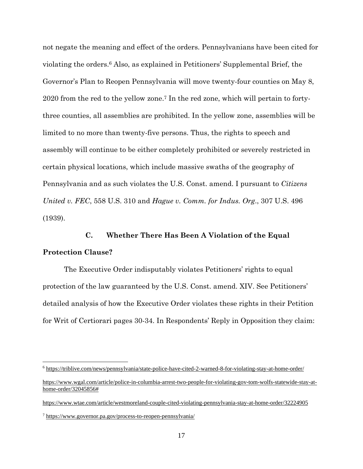not negate the meaning and effect of the orders. Pennsylvanians have been cited for violating the orders.[6](#page-19-4) Also, as explained in Petitioners' Supplemental Brief, the Governor's Plan to Reopen Pennsylvania will move twenty-four counties on May 8, 2020 from the red to the yellow zone.7In the red zone, which will pertain to fortythree counties, all assemblies are prohibited. In the yellow zone, assemblies will be limited to no more than twenty-five persons. Thus, the rights to speech and assembly will continue to be either completely prohibited or severely restricted in certain physical locations, which include massive swaths of the geography of Pennsylvania and as such violates the U.S. Const. amend. I pursuant to *Citizens United v. FEC*, 558 U.S. 310 and *Hague v. Comm. for Indus. Org*., 307 U.S. 496 (1939).

# <span id="page-19-2"></span><span id="page-19-1"></span><span id="page-19-0"></span>**C. Whether There Has Been A Violation of the Equal Protection Clause?**

<span id="page-19-3"></span>The Executive Order indisputably violates Petitioners' rights to equal protection of the law guaranteed by the U.S. Const. amend. XIV. See Petitioners' detailed analysis of how the Executive Order violates these rights in their Petition for Writ of Certiorari pages 30-34. In Respondents' Reply in Opposition they claim:

<span id="page-19-4"></span><sup>6</sup> https://triblive.com/news/pennsylvania/state-police-have-cited-2-warned-8-for-violating-stay-at-home-order/

https://www.wgal.com/article/police-in-columbia-arrest-two-people-for-violating-gov-tom-wolfs-statewide-stay-athome-order/32045856#

https://www.wtae.com/article/westmoreland-couple-cited-violating-pennsylvania-stay-at-home-order/32224905

<span id="page-19-5"></span><sup>&</sup>lt;sup>7</sup> https://www.governor.pa.gov/process-to-reopen-pennsylvania/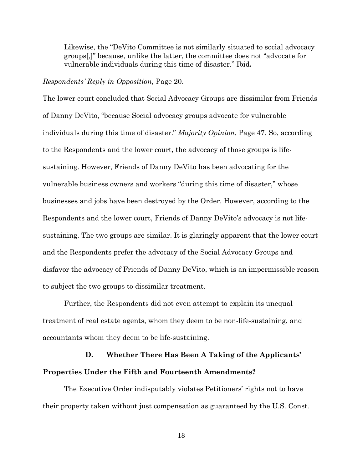Likewise, the "DeVito Committee is not similarly situated to social advocacy groups[,]" because, unlike the latter, the committee does not "advocate for vulnerable individuals during this time of disaster." Ibid**.** 

### *Respondents' Reply in Opposition*, Page 20.

The lower court concluded that Social Advocacy Groups are dissimilar from Friends of Danny DeVito, "because Social advocacy groups advocate for vulnerable individuals during this time of disaster." *Majority Opinion*, Page 47. So, according to the Respondents and the lower court, the advocacy of those groups is lifesustaining. However, Friends of Danny DeVito has been advocating for the vulnerable business owners and workers "during this time of disaster," whose businesses and jobs have been destroyed by the Order. However, according to the Respondents and the lower court, Friends of Danny DeVito's advocacy is not lifesustaining. The two groups are similar. It is glaringly apparent that the lower court and the Respondents prefer the advocacy of the Social Advocacy Groups and disfavor the advocacy of Friends of Danny DeVito, which is an impermissible reason to subject the two groups to dissimilar treatment.

Further, the Respondents did not even attempt to explain its unequal treatment of real estate agents, whom they deem to be non-life-sustaining, and accountants whom they deem to be life-sustaining.

# **D. Whether There Has Been A Taking of the Applicants' Properties Under the Fifth and Fourteenth Amendments?**

The Executive Order indisputably violates Petitioners' rights not to have their property taken without just compensation as guaranteed by the U.S. Const.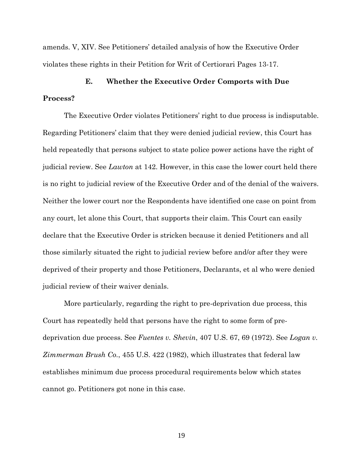amends. V, XIV. See Petitioners' detailed analysis of how the Executive Order violates these rights in their Petition for Writ of Certiorari Pages 13-17.

# **E. Whether the Executive Order Comports with Due Process?**

The Executive Order violates Petitioners' right to due process is indisputable. Regarding Petitioners' claim that they were denied judicial review, this Court has held repeatedly that persons subject to state police power actions have the right of judicial review. See *Lawton* at 142. However, in this case the lower court held there is no right to judicial review of the Executive Order and of the denial of the waivers. Neither the lower court nor the Respondents have identified one case on point from any court, let alone this Court, that supports their claim. This Court can easily declare that the Executive Order is stricken because it denied Petitioners and all those similarly situated the right to judicial review before and/or after they were deprived of their property and those Petitioners, Declarants, et al who were denied judicial review of their waiver denials.

<span id="page-21-1"></span><span id="page-21-0"></span>More particularly, regarding the right to pre-deprivation due process, this Court has repeatedly held that persons have the right to some form of predeprivation due process. See *Fuentes v. Shevin*, 407 U.S. 67, 69 (1972). See *Logan v. Zimmerman Brush Co.*, 455 U.S. 422 (1982), which illustrates that federal law establishes minimum due process procedural requirements below which states cannot go. Petitioners got none in this case.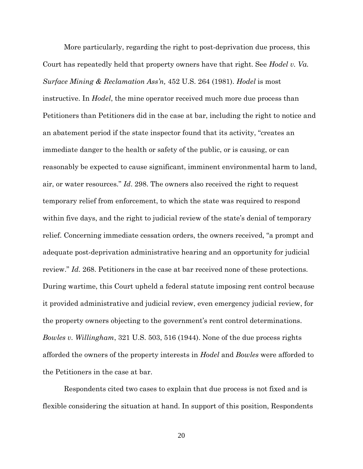<span id="page-22-1"></span>More particularly, regarding the right to post-deprivation due process, this Court has repeatedly held that property owners have that right. See *Hodel v. Va. Surface Mining & Reclamation Ass'n,* 452 U.S. 264 (1981). *Hodel* is most instructive. In *Hodel*, the mine operator received much more due process than Petitioners than Petitioners did in the case at bar, including the right to notice and an abatement period if the state inspector found that its activity, "creates an immediate danger to the health or safety of the public, or is causing, or can reasonably be expected to cause significant, imminent environmental harm to land, air, or water resources." *Id*. 298. The owners also received the right to request temporary relief from enforcement, to which the state was required to respond within five days, and the right to judicial review of the state's denial of temporary relief. Concerning immediate cessation orders, the owners received, "a prompt and adequate post-deprivation administrative hearing and an opportunity for judicial review." *Id*. 268. Petitioners in the case at bar received none of these protections. During wartime, this Court upheld a federal statute imposing rent control because it provided administrative and judicial review, even emergency judicial review, for the property owners objecting to the government's rent control determinations. *Bowles v. Willingham*, 321 U.S. 503, 516 (1944). None of the due process rights afforded the owners of the property interests in *Hodel* and *Bowles* were afforded to the Petitioners in the case at bar.

<span id="page-22-0"></span>Respondents cited two cases to explain that due process is not fixed and is flexible considering the situation at hand. In support of this position, Respondents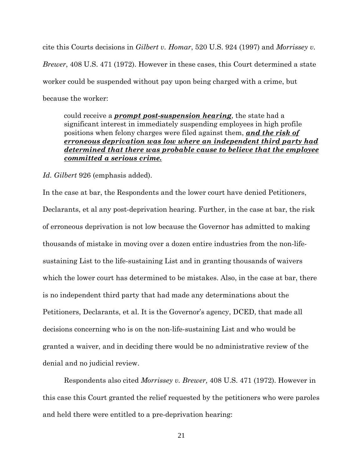<span id="page-23-0"></span>cite this Courts decisions in *Gilbert v. Homar*, 520 U.S. 924 (1997) and *Morrissey v. Brewer*, 408 U.S. 471 (1972). However in these cases, this Court determined a state worker could be suspended without pay upon being charged with a crime, but because the worker:

<span id="page-23-1"></span>could receive a *prompt post-suspension hearing*, the state had a significant interest in immediately suspending employees in high profile positions when felony charges were filed against them, *and the risk of erroneous deprivation was low where an independent third party had determined that there was probable cause to believe that the employee committed a serious crime.* 

### *Id. Gilbert* 926 (emphasis added).

In the case at bar, the Respondents and the lower court have denied Petitioners, Declarants, et al any post-deprivation hearing. Further, in the case at bar, the risk of erroneous deprivation is not low because the Governor has admitted to making thousands of mistake in moving over a dozen entire industries from the non-lifesustaining List to the life-sustaining List and in granting thousands of waivers which the lower court has determined to be mistakes. Also, in the case at bar, there is no independent third party that had made any determinations about the Petitioners, Declarants, et al. It is the Governor's agency, DCED, that made all decisions concerning who is on the non-life-sustaining List and who would be granted a waiver, and in deciding there would be no administrative review of the denial and no judicial review.

Respondents also cited *Morrissey v. Brewer,* 408 U.S. 471 (1972). However in this case this Court granted the relief requested by the petitioners who were paroles and held there were entitled to a pre-deprivation hearing: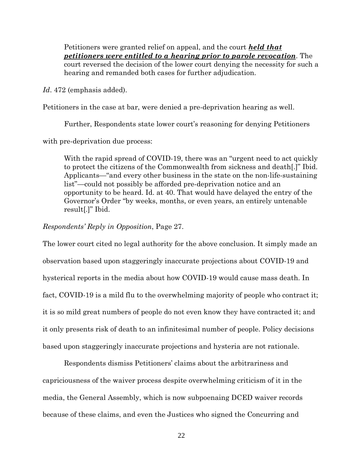Petitioners were granted relief on appeal, and the court *held that petitioners were entitled to a hearing prior to parole revocation*. The court reversed the decision of the lower court denying the necessity for such a hearing and remanded both cases for further adjudication.

<span id="page-24-0"></span>*Id*. 472 (emphasis added).

Petitioners in the case at bar, were denied a pre-deprivation hearing as well.

Further, Respondents state lower court's reasoning for denying Petitioners

with pre-deprivation due process:

With the rapid spread of COVID-19, there was an "urgent need to act quickly" to protect the citizens of the Commonwealth from sickness and death[.]" Ibid. Applicants—"and every other business in the state on the non-life-sustaining list"—could not possibly be afforded pre-deprivation notice and an opportunity to be heard. Id. at 40. That would have delayed the entry of the Governor's Order "by weeks, months, or even years, an entirely untenable result[.]" Ibid.

### *Respondents' Reply in Opposition*, Page 27.

The lower court cited no legal authority for the above conclusion. It simply made an observation based upon staggeringly inaccurate projections about COVID-19 and hysterical reports in the media about how COVID-19 would cause mass death. In fact, COVID-19 is a mild flu to the overwhelming majority of people who contract it; it is so mild great numbers of people do not even know they have contracted it; and it only presents risk of death to an infinitesimal number of people. Policy decisions based upon staggeringly inaccurate projections and hysteria are not rationale.

Respondents dismiss Petitioners' claims about the arbitrariness and capriciousness of the waiver process despite overwhelming criticism of it in the media, the General Assembly, which is now subpoenaing DCED waiver records because of these claims, and even the Justices who signed the Concurring and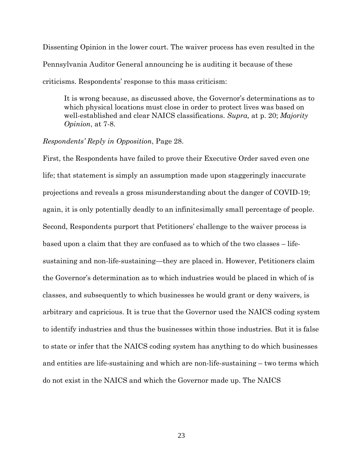Dissenting Opinion in the lower court. The waiver process has even resulted in the Pennsylvania Auditor General announcing he is auditing it because of these criticisms. Respondents' response to this mass criticism:

It is wrong because, as discussed above, the Governor's determinations as to which physical locations must close in order to protect lives was based on well-established and clear NAICS classifications. *Supra,* at p. 20; *Majority Opinion*, at 7-8.

### *Respondents' Reply in Opposition*, Page 28.

First, the Respondents have failed to prove their Executive Order saved even one life; that statement is simply an assumption made upon staggeringly inaccurate projections and reveals a gross misunderstanding about the danger of COVID-19; again, it is only potentially deadly to an infinitesimally small percentage of people. Second, Respondents purport that Petitioners' challenge to the waiver process is based upon a claim that they are confused as to which of the two classes – lifesustaining and non-life-sustaining—they are placed in. However, Petitioners claim the Governor's determination as to which industries would be placed in which of is classes, and subsequently to which businesses he would grant or deny waivers, is arbitrary and capricious. It is true that the Governor used the NAICS coding system to identify industries and thus the businesses within those industries. But it is false to state or infer that the NAICS coding system has anything to do which businesses and entities are life-sustaining and which are non-life-sustaining – two terms which do not exist in the NAICS and which the Governor made up. The NAICS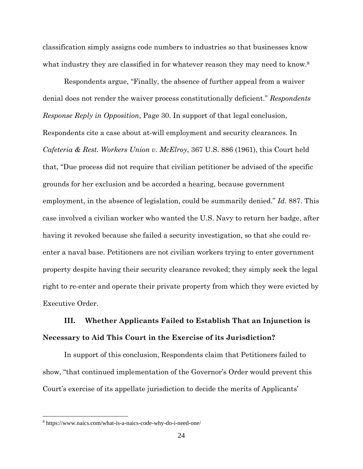classification simply assigns code numbers to industries so that businesses know what industry they are classified in for whatever reason they may need to know.<sup>[8](#page-26-1)</sup>

<span id="page-26-0"></span>Respondents argue, "Finally, the absence of further appeal from a waiver denial does not render the waiver process constitutionally deficient." *Respondents Response Reply in Opposition*, Page 30. In support of that legal conclusion, Respondents cite a case about at-will employment and security clearances. In *Cafeteria & Rest. Workers Union v. McElroy*, 367 U.S. 886 (1961), this Court held that, "Due process did not require that civilian petitioner be advised of the specific grounds for her exclusion and be accorded a hearing, because government employment, in the absence of legislation, could be summarily denied." *Id*. 887. This case involved a civilian worker who wanted the U.S. Navy to return her badge, after having it revoked because she failed a security investigation, so that she could reenter a naval base. Petitioners are not civilian workers trying to enter government property despite having their security clearance revoked; they simply seek the legal right to re-enter and operate their private property from which they were evicted by Executive Order.

# **III. Whether Applicants Failed to Establish That an Injunction is Necessary to Aid This Court in the Exercise of its Jurisdiction?**

In support of this conclusion, Respondents claim that Petitioners failed to show, "that continued implementation of the Governor's Order would prevent this Court's exercise of its appellate jurisdiction to decide the merits of Applicants'

<span id="page-26-1"></span><sup>8</sup> https://www.naics.com/what-is-a-naics-code-why-do-i-need-one/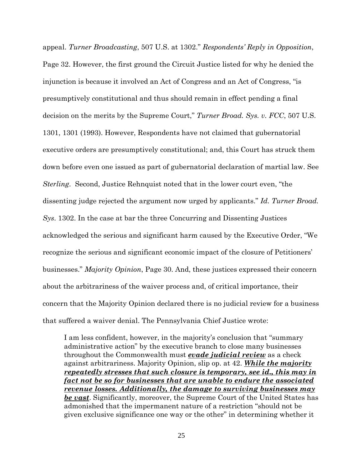<span id="page-27-1"></span><span id="page-27-0"></span>appeal. *Turner Broadcasting*, 507 U.S. at 1302." *Respondents' Reply in Opposition*, Page 32. However, the first ground the Circuit Justice listed for why he denied the injunction is because it involved an Act of Congress and an Act of Congress, "is presumptively constitutional and thus should remain in effect pending a final decision on the merits by the Supreme Court," *Turner Broad. Sys. v. FCC*, 507 U.S. 1301, 1301 (1993). However, Respondents have not claimed that gubernatorial executive orders are presumptively constitutional; and, this Court has struck them down before even one issued as part of gubernatorial declaration of martial law. See *Sterling*. Second, Justice Rehnquist noted that in the lower court even, "the dissenting judge rejected the argument now urged by applicants." *Id. Turner Broad. Sys*. 1302. In the case at bar the three Concurring and Dissenting Justices acknowledged the serious and significant harm caused by the Executive Order, "We recognize the serious and significant economic impact of the closure of Petitioners' businesses." *Majority Opinion*, Page 30. And, these justices expressed their concern about the arbitrariness of the waiver process and, of critical importance, their concern that the Majority Opinion declared there is no judicial review for a business that suffered a waiver denial. The Pennsylvania Chief Justice wrote:

I am less confident, however, in the majority's conclusion that "summary administrative action" by the executive branch to close many businesses throughout the Commonwealth must *evade judicial review* as a check against arbitrariness. Majority Opinion, slip op. at 42. *While the majority repeatedly stresses that such closure is temporary, see id., this may in fact not be so for businesses that are unable to endure the associated revenue losses. Additionally, the damage to surviving businesses may be vast*. Significantly, moreover, the Supreme Court of the United States has admonished that the impermanent nature of a restriction "should not be given exclusive significance one way or the other" in determining whether it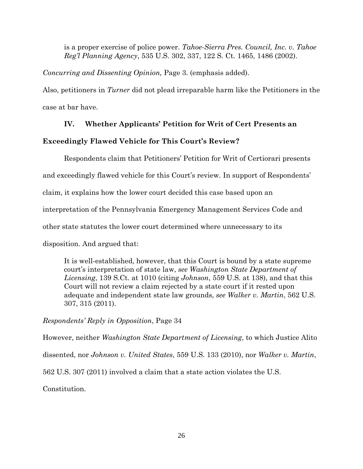<span id="page-28-1"></span>is a proper exercise of police power. *Tahoe-Sierra Pres. Council, Inc. v. Tahoe Reg'l Planning Agency*, 535 U.S. 302, 337, 122 S. Ct. 1465, 1486 (2002).

*Concurring and Dissenting Opinion,* Page 3. (emphasis added).

Also, petitioners in *Turner* did not plead irreparable harm like the Petitioners in the case at bar have.

## **IV. Whether Applicants' Petition for Writ of Cert Presents an**

## **Exceedingly Flawed Vehicle for This Court's Review?**

Respondents claim that Petitioners' Petition for Writ of Certiorari presents

and exceedingly flawed vehicle for this Court's review. In support of Respondents'

claim, it explains how the lower court decided this case based upon an

interpretation of the Pennsylvania Emergency Management Services Code and

other state statutes the lower court determined where unnecessary to its

disposition. And argued that:

<span id="page-28-3"></span><span id="page-28-2"></span><span id="page-28-0"></span>It is well-established, however, that this Court is bound by a state supreme court's interpretation of state law, *see Washington State Department of Licensing*, 139 S.Ct. at 1010 (citing *Johnson*, 559 U.S. at 138), and that this Court will not review a claim rejected by a state court if it rested upon adequate and independent state law grounds, *see Walker v. Martin*, 562 U.S. 307, 315 (2011).

*Respondents' Reply in Opposition*, Page 34

However, neither *Washington State Department of Licensing*, to which Justice Alito dissented, nor *Johnson v. United States*, 559 U.S. 133 (2010), nor *Walker v. Martin*, 562 U.S. 307 (2011) involved a claim that a state action violates the U.S.

Constitution.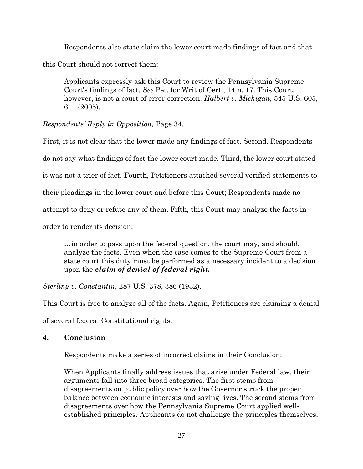Respondents also state claim the lower court made findings of fact and that this Court should not correct them:

<span id="page-29-0"></span>Applicants expressly ask this Court to review the Pennsylvania Supreme Court's findings of fact. *See* Pet. for Writ of Cert., 14 n. 17. This Court, however, is not a court of error-correction. *Halbert v. Michigan*, 545 U.S. 605, 611 (2005).

*Respondents' Reply in Opposition,* Page 34.

First, it is not clear that the lower made any findings of fact. Second, Respondents do not say what findings of fact the lower court made. Third, the lower court stated it was not a trier of fact. Fourth, Petitioners attached several verified statements to their pleadings in the lower court and before this Court; Respondents made no attempt to deny or refute any of them. Fifth, this Court may analyze the facts in order to render its decision:

…in order to pass upon the federal question, the court may, and should, analyze the facts. Even when the case comes to the Supreme Court from a state court this duty must be performed as a necessary incident to a decision upon the *claim of denial of federal right.*

<span id="page-29-1"></span>*Sterling v. Constantin*, 287 U.S. 378, 386 (1932).

This Court is free to analyze all of the facts. Again, Petitioners are claiming a denial

of several federal Constitutional rights.

# **4. Conclusion**

Respondents make a series of incorrect claims in their Conclusion:

When Applicants finally address issues that arise under Federal law, their arguments fall into three broad categories. The first stems from disagreements on public policy over how the Governor struck the proper balance between economic interests and saving lives. The second stems from disagreements over how the Pennsylvania Supreme Court applied wellestablished principles. Applicants do not challenge the principles themselves,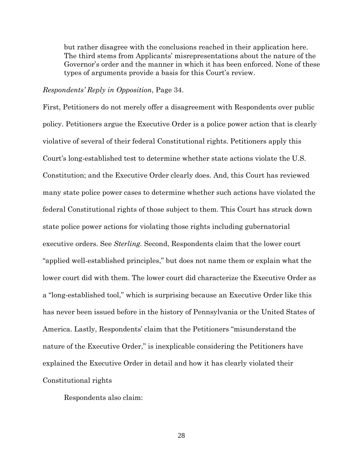but rather disagree with the conclusions reached in their application here. The third stems from Applicants' misrepresentations about the nature of the Governor's order and the manner in which it has been enforced. None of these types of arguments provide a basis for this Court's review.

#### *Respondents' Reply in Opposition*, Page 34.

First, Petitioners do not merely offer a disagreement with Respondents over public policy. Petitioners argue the Executive Order is a police power action that is clearly violative of several of their federal Constitutional rights. Petitioners apply this Court's long-established test to determine whether state actions violate the U.S. Constitution; and the Executive Order clearly does. And, this Court has reviewed many state police power cases to determine whether such actions have violated the federal Constitutional rights of those subject to them. This Court has struck down state police power actions for violating those rights including gubernatorial executive orders. See *Sterling.* Second, Respondents claim that the lower court "applied well-established principles," but does not name them or explain what the lower court did with them. The lower court did characterize the Executive Order as a "long-established tool," which is surprising because an Executive Order like this has never been issued before in the history of Pennsylvania or the United States of America. Lastly, Respondents' claim that the Petitioners "misunderstand the nature of the Executive Order," is inexplicable considering the Petitioners have explained the Executive Order in detail and how it has clearly violated their Constitutional rights

Respondents also claim: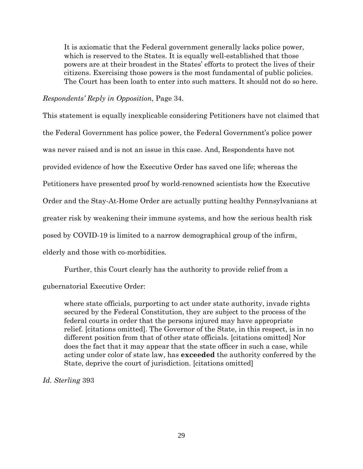It is axiomatic that the Federal government generally lacks police power, which is reserved to the States. It is equally well-established that those powers are at their broadest in the States' efforts to protect the lives of their citizens. Exercising those powers is the most fundamental of public policies. The Court has been loath to enter into such matters. It should not do so here.

## *Respondents' Reply in Opposition*, Page 34.

This statement is equally inexplicable considering Petitioners have not claimed that the Federal Government has police power, the Federal Government's police power was never raised and is not an issue in this case. And, Respondents have not provided evidence of how the Executive Order has saved one life; whereas the Petitioners have presented proof by world-renowned scientists how the Executive Order and the Stay-At-Home Order are actually putting healthy Pennsylvanians at greater risk by weakening their immune systems, and how the serious health risk posed by COVID-19 is limited to a narrow demographical group of the infirm, elderly and those with co-morbidities.

Further, this Court clearly has the authority to provide relief from a

gubernatorial Executive Order:

where state officials, purporting to act under state authority, invade rights secured by the Federal Constitution, they are subject to the process of the federal courts in order that the persons injured may have appropriate relief. [citations omitted]. The Governor of the State, in this respect, is in no different position from that of other state officials. [citations omitted] Nor does the fact that it may appear that the state officer in such a case, while acting under color of state law, has **exceeded** the authority conferred by the State, deprive the court of jurisdiction. [citations omitted]

<span id="page-31-0"></span>*Id. Sterling* 393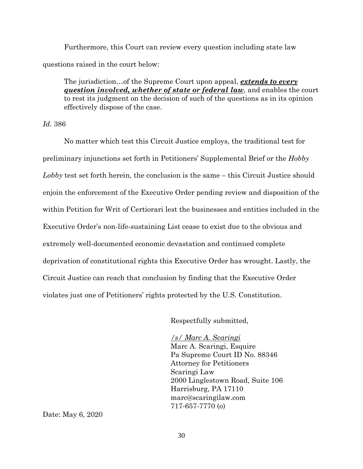Furthermore, this Court can review every question including state law questions raised in the court below:

The jurisdiction…of the Supreme Court upon appeal, *extends to every question involved, whether of state or federal law*, and enables the court to rest its judgment on the decision of such of the questions as in its opinion effectively dispose of the case.

<span id="page-32-0"></span>*Id*. 386

No matter which test this Circuit Justice employs, the traditional test for preliminary injunctions set forth in Petitioners' Supplemental Brief or the *Hobby Lobby* test set forth herein, the conclusion is the same – this Circuit Justice should enjoin the enforcement of the Executive Order pending review and disposition of the within Petition for Writ of Certiorari lest the businesses and entities included in the Executive Order's non-life-sustaining List cease to exist due to the obvious and extremely well-documented economic devastation and continued complete deprivation of constitutional rights this Executive Order has wrought. Lastly, the Circuit Justice can reach that conclusion by finding that the Executive Order violates just one of Petitioners' rights protected by the U.S. Constitution.

Respectfully submitted,

*/s/ Marc A. Scaringi*  Marc A. Scaringi, Esquire Pa Supreme Court ID No. 88346 Attorney for Petitioners Scaringi Law 2000 Linglestown Road, Suite 106 Harrisburg, PA 17110 marc@scaringilaw.com 717-657-7770 (o)

Date: May 6, 2020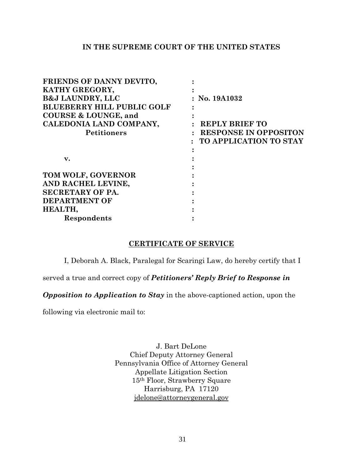### **IN THE SUPREME COURT OF THE UNITED STATES**

| FRIENDS OF DANNY DEVITO,          |                               |
|-----------------------------------|-------------------------------|
| KATHY GREGORY,                    |                               |
| <b>B&amp;J LAUNDRY, LLC</b>       | : No. 19A1032                 |
| <b>BLUEBERRY HILL PUBLIC GOLF</b> |                               |
| <b>COURSE &amp; LOUNGE, and</b>   |                               |
| CALEDONIA LAND COMPANY,           | <b>REPLY BRIEF TO</b>         |
| <b>Petitioners</b>                | <b>RESPONSE IN OPPOSITON</b>  |
|                                   | <b>TO APPLICATION TO STAY</b> |
|                                   |                               |
| $\mathbf{v}$ .                    |                               |
|                                   |                               |
| TOM WOLF, GOVERNOR                |                               |
| AND RACHEL LEVINE,                |                               |
| SECRETARY OF PA.                  |                               |
| <b>DEPARTMENT OF</b>              |                               |
| HEALTH,                           |                               |
| Respondents                       |                               |

### **CERTIFICATE OF SERVICE**

I, Deborah A. Black, Paralegal for Scaringi Law, do hereby certify that I

served a true and correct copy of *Petitioners' Reply Brief to Response in* 

*Opposition to Application to Stay* in the above-captioned action, upon the

following via electronic mail to:

J. Bart DeLone Chief Deputy Attorney General Pennsylvania Office of Attorney General Appellate Litigation Section 15th Floor, Strawberry Square Harrisburg, PA 17120 [jdelone@attorneygeneral.gov](mailto:jdelone@attorneygeneral.gov)